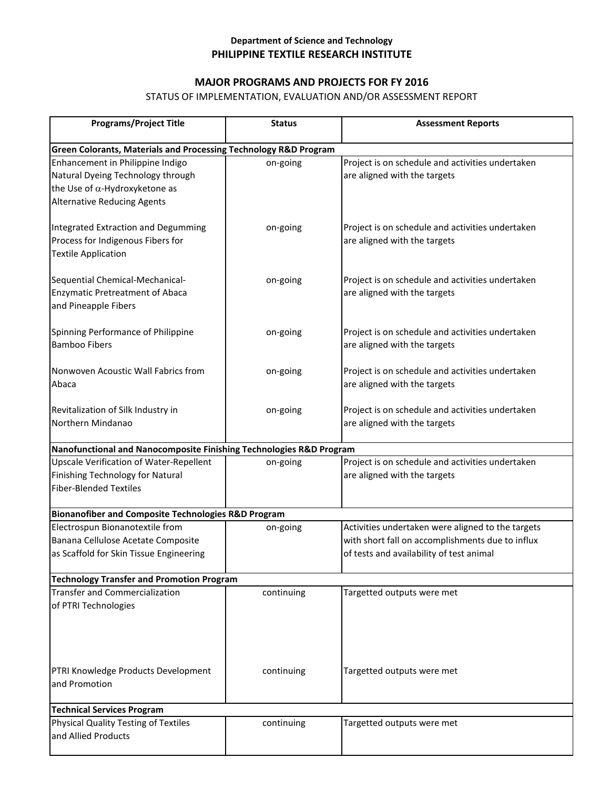### **Department of Science and Technology PHILIPPINE TEXTILE RESEARCH INSTITUTE**

#### **MAJOR PROGRAMS AND PROJECTS FOR FY 2016**

## STATUS OF IMPLEMENTATION, EVALUATION AND/OR ASSESSMENT REPORT

| <b>Programs/Project Title</b>                                                                                                                        | <b>Status</b> | <b>Assessment Reports</b>                                                                                                                         |  |
|------------------------------------------------------------------------------------------------------------------------------------------------------|---------------|---------------------------------------------------------------------------------------------------------------------------------------------------|--|
| <b>Green Colorants, Materials and Processing Technology R&amp;D Program</b>                                                                          |               |                                                                                                                                                   |  |
| Enhancement in Philippine Indigo<br>Natural Dyeing Technology through<br>the Use of $\alpha$ -Hydroxyketone as<br><b>Alternative Reducing Agents</b> | on-going      | Project is on schedule and activities undertaken<br>are aligned with the targets                                                                  |  |
| Integrated Extraction and Degumming<br>Process for Indigenous Fibers for<br><b>Textile Application</b>                                               | on-going      | Project is on schedule and activities undertaken<br>are aligned with the targets                                                                  |  |
| Sequential Chemical-Mechanical-<br><b>Enzymatic Pretreatment of Abaca</b><br>and Pineapple Fibers                                                    | on-going      | Project is on schedule and activities undertaken<br>are aligned with the targets                                                                  |  |
| Spinning Performance of Philippine<br><b>Bamboo Fibers</b>                                                                                           | on-going      | Project is on schedule and activities undertaken<br>are aligned with the targets                                                                  |  |
| Nonwoven Acoustic Wall Fabrics from<br>Abaca                                                                                                         | on-going      | Project is on schedule and activities undertaken<br>are aligned with the targets                                                                  |  |
| Revitalization of Silk Industry in<br>Northern Mindanao                                                                                              | on-going      | Project is on schedule and activities undertaken<br>are aligned with the targets                                                                  |  |
| Nanofunctional and Nanocomposite Finishing Technologies R&D Program                                                                                  |               |                                                                                                                                                   |  |
| <b>Upscale Verification of Water-Repellent</b><br>Finishing Technology for Natural<br><b>Fiber-Blended Textiles</b>                                  | on-going      | Project is on schedule and activities undertaken<br>are aligned with the targets                                                                  |  |
| <b>Bionanofiber and Composite Technologies R&amp;D Program</b>                                                                                       |               |                                                                                                                                                   |  |
| Electrospun Bionanotextile from<br>Banana Cellulose Acetate Composite<br>as Scaffold for Skin Tissue Engineering                                     | on-going      | Activities undertaken were aligned to the targets<br>with short fall on accomplishments due to influx<br>of tests and availability of test animal |  |
| <b>Technology Transfer and Promotion Program</b>                                                                                                     |               |                                                                                                                                                   |  |
| <b>Transfer and Commercialization</b><br>of PTRI Technologies                                                                                        | continuing    | Targetted outputs were met                                                                                                                        |  |
| PTRI Knowledge Products Development<br>and Promotion                                                                                                 | continuing    | Targetted outputs were met                                                                                                                        |  |
| <b>Technical Services Program</b>                                                                                                                    |               |                                                                                                                                                   |  |
| Physical Quality Testing of Textiles<br>and Allied Products                                                                                          | continuing    | Targetted outputs were met                                                                                                                        |  |